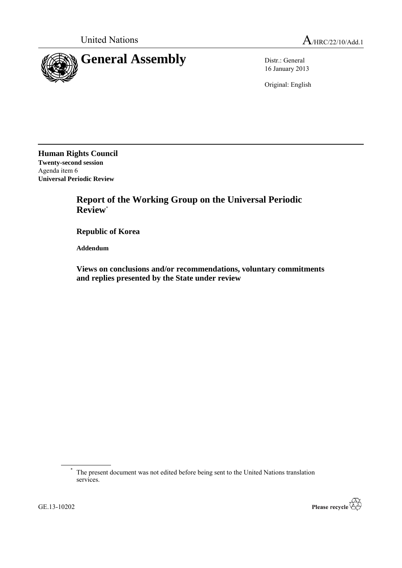

16 January 2013

Original: English

**Human Rights Council Twenty-second session** Agenda item 6 **Universal Periodic Review**

> **Report of the Working Group on the Universal Periodic Review**\*

**Republic of Korea**

**Addendum**

**Views on conclusions and/or recommendations, voluntary commitments and replies presented by the State under review**

\* The present document was not edited before being sent to the United Nations translation services.

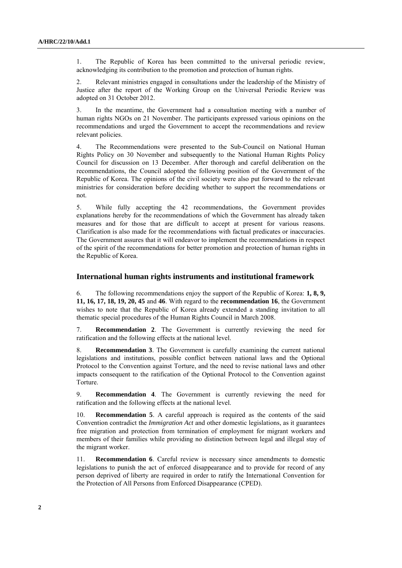1. The Republic of Korea has been committed to the universal periodic review, acknowledging its contribution to the promotion and protection of human rights.

2. Relevant ministries engaged in consultations under the leadership of the Ministry of Justice after the report of the Working Group on the Universal Periodic Review was adopted on 31 October 2012.

3. In the meantime, the Government had a consultation meeting with a number of human rights NGOs on 21 November. The participants expressed various opinions on the recommendations and urged the Government to accept the recommendations and review relevant policies.

4. The Recommendations were presented to the Sub-Council on National Human Rights Policy on 30 November and subsequently to the National Human Rights Policy Council for discussion on 13 December. After thorough and careful deliberation on the recommendations, the Council adopted the following position of the Government of the Republic of Korea. The opinions of the civil society were also put forward to the relevant ministries for consideration before deciding whether to support the recommendations or not.

5. While fully accepting the 42 recommendations, the Government provides explanations hereby for the recommendations of which the Government has already taken measures and for those that are difficult to accept at present for various reasons. Clarification is also made for the recommendations with factual predicates or inaccuracies. The Government assures that it will endeavor to implement the recommendations in respect of the spirit of the recommendations for better promotion and protection of human rights in the Republic of Korea.

# **International human rights instruments and institutional framework**

6. The following recommendations enjoy the support of the Republic of Korea: **1, 8, 9, 11, 16, 17, 18, 19, 20, 45** and **46**. With regard to the **recommendation 16**, the Government wishes to note that the Republic of Korea already extended a standing invitation to all thematic special procedures of the Human Rights Council in March 2008.

7. **Recommendation 2**. The Government is currently reviewing the need for ratification and the following effects at the national level.

8. **Recommendation 3**. The Government is carefully examining the current national legislations and institutions, possible conflict between national laws and the Optional Protocol to the Convention against Torture, and the need to revise national laws and other impacts consequent to the ratification of the Optional Protocol to the Convention against Torture.

9. **Recommendation 4**. The Government is currently reviewing the need for ratification and the following effects at the national level.

10. **Recommendation 5**. A careful approach is required as the contents of the said Convention contradict the *Immigration Act* and other domestic legislations, as it guarantees free migration and protection from termination of employment for migrant workers and members of their families while providing no distinction between legal and illegal stay of the migrant worker.

11. **Recommendation 6**. Careful review is necessary since amendments to domestic legislations to punish the act of enforced disappearance and to provide for record of any person deprived of liberty are required in order to ratify the International Convention for the Protection of All Persons from Enforced Disappearance (CPED).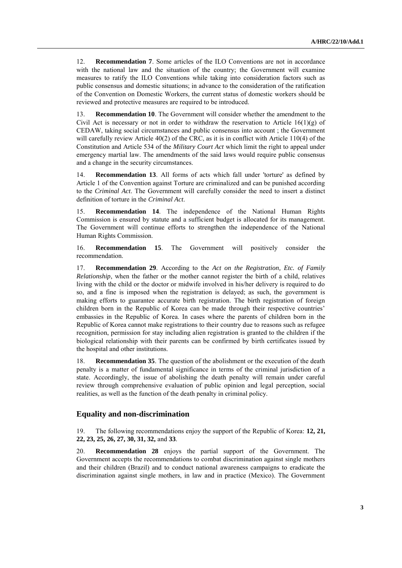12. **Recommendation 7**. Some articles of the ILO Conventions are not in accordance with the national law and the situation of the country; the Government will examine measures to ratify the ILO Conventions while taking into consideration factors such as public consensus and domestic situations; in advance to the consideration of the ratification of the Convention on Domestic Workers, the current status of domestic workers should be reviewed and protective measures are required to be introduced.

13. **Recommendation 10**. The Government will consider whether the amendment to the Civil Act is necessary or not in order to withdraw the reservation to Article  $16(1)(g)$  of CEDAW, taking social circumstances and public consensus into account ; the Government will carefully review Article 40(2) of the CRC, as it is in conflict with Article 110(4) of the Constitution and Article 534 of the *Military Court Act* which limit the right to appeal under emergency martial law. The amendments of the said laws would require public consensus and a change in the security circumstances.

14. **Recommendation 13**. All forms of acts which fall under 'torture' as defined by Article 1 of the Convention against Torture are criminalized and can be punished according to the *Criminal Act*. The Government will carefully consider the need to insert a distinct definition of torture in the *Criminal Act*.

15. **Recommendation 14**. The independence of the National Human Rights Commission is ensured by statute and a sufficient budget is allocated for its management. The Government will continue efforts to strengthen the independence of the National Human Rights Commission.

16. **Recommendation 15**. The Government will positively consider the recommendation.

17. **Recommendation 29**. According to the *Act on the Registration, Etc. of Family Relationship*, when the father or the mother cannot register the birth of a child, relatives living with the child or the doctor or midwife involved in his/her delivery is required to do so, and a fine is imposed when the registration is delayed; as such, the government is making efforts to guarantee accurate birth registration. The birth registration of foreign children born in the Republic of Korea can be made through their respective countries' embassies in the Republic of Korea. In cases where the parents of children born in the Republic of Korea cannot make registrations to their country due to reasons such as refugee recognition, permission for stay including alien registration is granted to the children if the biological relationship with their parents can be confirmed by birth certificates issued by the hospital and other institutions.

18. **Recommendation 35**. The question of the abolishment or the execution of the death penalty is a matter of fundamental significance in terms of the criminal jurisdiction of a state. Accordingly, the issue of abolishing the death penalty will remain under careful review through comprehensive evaluation of public opinion and legal perception, social realities, as well as the function of the death penalty in criminal policy.

### **Equality and non-discrimination**

19. The following recommendations enjoy the support of the Republic of Korea: **12, 21, 22, 23, 25, 26, 27, 30, 31, 32,** and **33**.

20. **Recommendation 28** enjoys the partial support of the Government. The Government accepts the recommendations to combat discrimination against single mothers and their children (Brazil) and to conduct national awareness campaigns to eradicate the discrimination against single mothers, in law and in practice (Mexico). The Government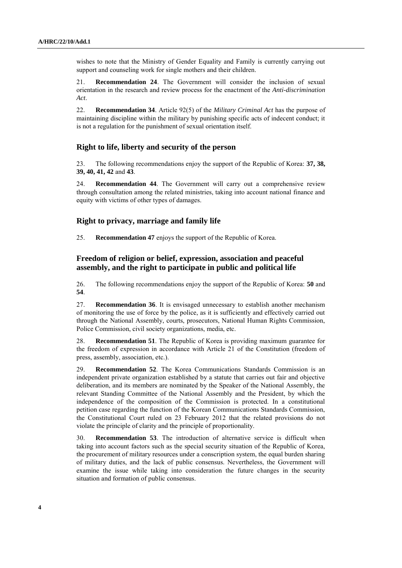wishes to note that the Ministry of Gender Equality and Family is currently carrying out support and counseling work for single mothers and their children.

21. **Recommendation 24**. The Government will consider the inclusion of sexual orientation in the research and review process for the enactment of the *Anti-discrimination Act*.

22. **Recommendation 34**. Article 92(5) of the *Military Criminal Act* has the purpose of maintaining discipline within the military by punishing specific acts of indecent conduct; it is not a regulation for the punishment of sexual orientation itself.

# **Right to life, liberty and security of the person**

23. The following recommendations enjoy the support of the Republic of Korea: **37, 38, 39, 40, 41, 42** and **43**.

24. **Recommendation 44**. The Government will carry out a comprehensive review through consultation among the related ministries, taking into account national finance and equity with victims of other types of damages.

# **Right to privacy, marriage and family life**

25. **Recommendation 47** enjoys the support of the Republic of Korea.

# **Freedom of religion or belief, expression, association and peaceful assembly, and the right to participate in public and political life**

26. The following recommendations enjoy the support of the Republic of Korea: **50** and **54**.

27. **Recommendation 36**. It is envisaged unnecessary to establish another mechanism of monitoring the use of force by the police, as it is sufficiently and effectively carried out through the National Assembly, courts, prosecutors, National Human Rights Commission, Police Commission, civil society organizations, media, etc.

28. **Recommendation 51**. The Republic of Korea is providing maximum guarantee for the freedom of expression in accordance with Article 21 of the Constitution (freedom of press, assembly, association, etc.).

29. **Recommendation 52**. The Korea Communications Standards Commission is an independent private organization established by a statute that carries out fair and objective deliberation, and its members are nominated by the Speaker of the National Assembly, the relevant Standing Committee of the National Assembly and the President, by which the independence of the composition of the Commission is protected. In a constitutional petition case regarding the function of the Korean Communications Standards Commission, the Constitutional Court ruled on 23 February 2012 that the related provisions do not violate the principle of clarity and the principle of proportionality.

30. **Recommendation 53**. The introduction of alternative service is difficult when taking into account factors such as the special security situation of the Republic of Korea, the procurement of military resources under a conscription system, the equal burden sharing of military duties, and the lack of public consensus. Nevertheless, the Government will examine the issue while taking into consideration the future changes in the security situation and formation of public consensus.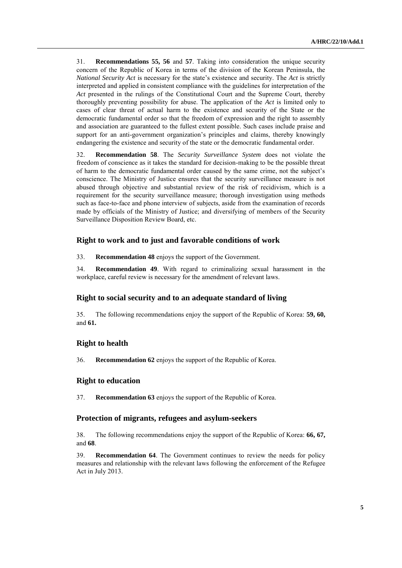31. **Recommendations 55, 56** and **57**. Taking into consideration the unique security concern of the Republic of Korea in terms of the division of the Korean Peninsula, the *National Security Act* is necessary for the state's existence and security. The *Act* is strictly interpreted and applied in consistent compliance with the guidelines for interpretation of the *Act* presented in the rulings of the Constitutional Court and the Supreme Court, thereby thoroughly preventing possibility for abuse. The application of the *Act* is limited only to cases of clear threat of actual harm to the existence and security of the State or the democratic fundamental order so that the freedom of expression and the right to assembly and association are guaranteed to the fullest extent possible. Such cases include praise and support for an anti-government organization's principles and claims, thereby knowingly endangering the existence and security of the state or the democratic fundamental order.

32. **Recommendation 58**. The *Security Surveillance System* does not violate the freedom of conscience as it takes the standard for decision-making to be the possible threat of harm to the democratic fundamental order caused by the same crime, not the subject's conscience. The Ministry of Justice ensures that the security surveillance measure is not abused through objective and substantial review of the risk of recidivism, which is a requirement for the security surveillance measure; thorough investigation using methods such as face-to-face and phone interview of subjects, aside from the examination of records made by officials of the Ministry of Justice; and diversifying of members of the Security Surveillance Disposition Review Board, etc.

# **Right to work and to just and favorable conditions of work**

33. **Recommendation 48** enjoys the support of the Government.

34. **Recommendation 49**. With regard to criminalizing sexual harassment in the workplace, careful review is necessary for the amendment of relevant laws.

#### **Right to social security and to an adequate standard of living**

35. The following recommendations enjoy the support of the Republic of Korea: **59, 60,**  and **61.**

# **Right to health**

36. **Recommendation 62** enjoys the support of the Republic of Korea.

# **Right to education**

37. **Recommendation 63** enjoys the support of the Republic of Korea.

# **Protection of migrants, refugees and asylum-seekers**

38. The following recommendations enjoy the support of the Republic of Korea: **66, 67,** and **68**.

39. **Recommendation 64**. The Government continues to review the needs for policy measures and relationship with the relevant laws following the enforcement of the Refugee Act in July 2013.